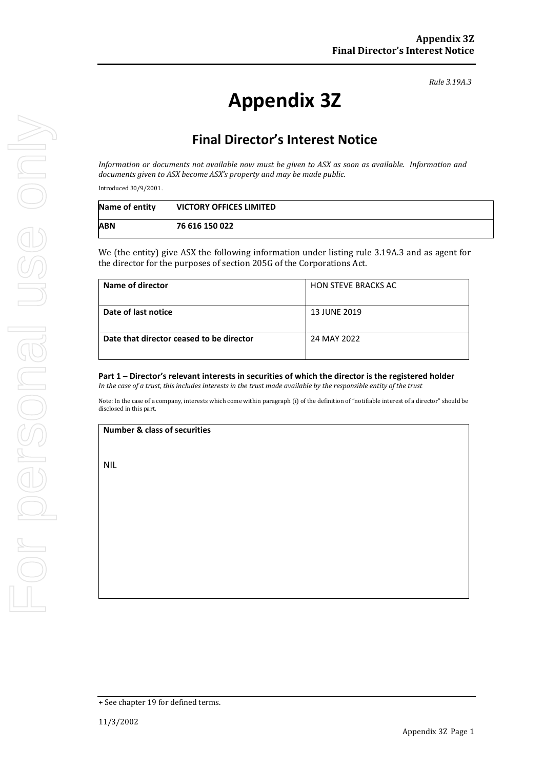*Rule 3.19A.3*

# **Appendix 3Z**

## **Final Director's Interest Notice**

*Information or documents not available now must be given to ASX as soon as available. Information and documents given to ASX become ASX's property and may be made public.*

Introduced 30/9/2001.

| Name of entity | <b>VICTORY OFFICES LIMITED</b> |  |
|----------------|--------------------------------|--|
| <b>ABN</b>     | 76 616 150 022                 |  |

We (the entity) give ASX the following information under listing rule 3.19A.3 and as agent for the director for the purposes of section 205G of the Corporations Act.

| Name of director                         | <b>HON STEVE BRACKS AC</b> |
|------------------------------------------|----------------------------|
| Date of last notice                      | <b>13 JUNE 2019</b>        |
| Date that director ceased to be director | 24 MAY 2022                |

### **Part 1 – Director's relevant interests in securities of which the director is the registered holder**

*In the case of a trust, this includes interests in the trust made available by the responsible entity of the trust*

Note: In the case of a company, interests which come within paragraph (i) of the definition of "notifiable interest of a director" should be disclosed in this part.

#### **Number & class of securities**

NIL

<sup>+</sup> See chapter 19 for defined terms.